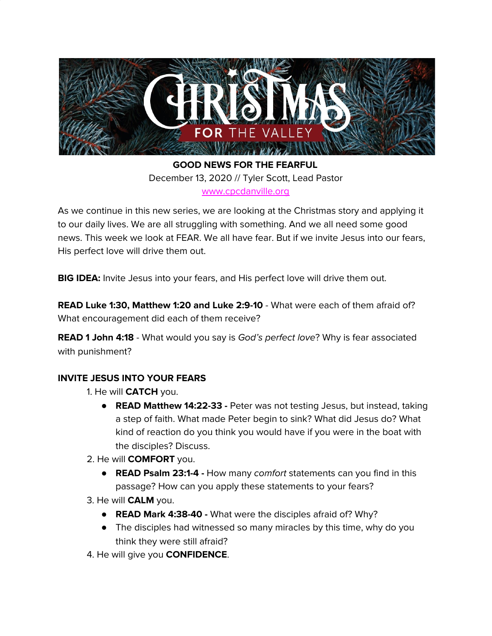

**GOOD NEWS FOR THE FEARFUL** December 13, 2020 // Tyler Scott, Lead Pastor [www.cpcdanville.org](http://www.cpcdanville.org/)

As we continue in this new series, we are looking at the Christmas story and applying it to our daily lives. We are all struggling with something. And we all need some good news. This week we look at FEAR. We all have fear. But if we invite Jesus into our fears, His perfect love will drive them out.

**BIG IDEA:** Invite Jesus into your fears, and His perfect love will drive them out.

**READ Luke 1:30, Matthew 1:20 and Luke 2:9-10** - What were each of them afraid of? What encouragement did each of them receive?

**READ 1 John 4:18** - What would you say is God's perfect love? Why is fear associated with punishment?

## **INVITE JESUS INTO YOUR FEARS**

- 1. He will **CATCH** you.
	- **READ Matthew 14:22-33 -** Peter was not testing Jesus, but instead, taking a step of faith. What made Peter begin to sink? What did Jesus do? What kind of reaction do you think you would have if you were in the boat with the disciples? Discuss.
- 2. He will **COMFORT** you.
	- **READ Psalm 23:1-4 -** How many comfort statements can you find in this passage? How can you apply these statements to your fears?
- 3. He will **CALM** you.
	- **READ Mark 4:38-40 -** What were the disciples afraid of? Why?
	- The disciples had witnessed so many miracles by this time, why do you think they were still afraid?
- 4. He will give you **CONFIDENCE**.